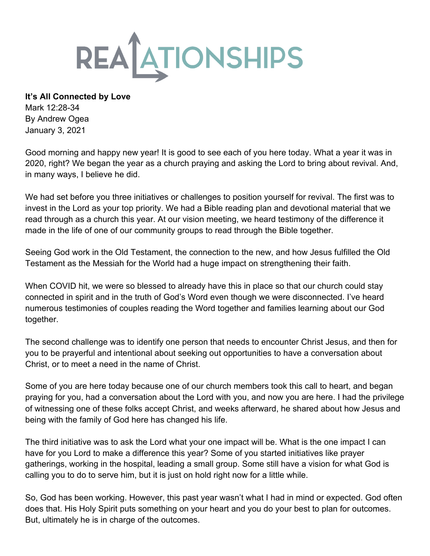

**It's All Connected by Love** Mark 12:28-34

By Andrew Ogea January 3, 2021

Good morning and happy new year! It is good to see each of you here today. What a year it was in 2020, right? We began the year as a church praying and asking the Lord to bring about revival. And, in many ways, I believe he did.

We had set before you three initiatives or challenges to position yourself for revival. The first was to invest in the Lord as your top priority. We had a Bible reading plan and devotional material that we read through as a church this year. At our vision meeting, we heard testimony of the difference it made in the life of one of our community groups to read through the Bible together.

Seeing God work in the Old Testament, the connection to the new, and how Jesus fulfilled the Old Testament as the Messiah for the World had a huge impact on strengthening their faith.

When COVID hit, we were so blessed to already have this in place so that our church could stay connected in spirit and in the truth of God's Word even though we were disconnected. I've heard numerous testimonies of couples reading the Word together and families learning about our God together.

The second challenge was to identify one person that needs to encounter Christ Jesus, and then for you to be prayerful and intentional about seeking out opportunities to have a conversation about Christ, or to meet a need in the name of Christ.

Some of you are here today because one of our church members took this call to heart, and began praying for you, had a conversation about the Lord with you, and now you are here. I had the privilege of witnessing one of these folks accept Christ, and weeks afterward, he shared about how Jesus and being with the family of God here has changed his life.

The third initiative was to ask the Lord what your one impact will be. What is the one impact I can have for you Lord to make a difference this year? Some of you started initiatives like prayer gatherings, working in the hospital, leading a small group. Some still have a vision for what God is calling you to do to serve him, but it is just on hold right now for a little while.

So, God has been working. However, this past year wasn't what I had in mind or expected. God often does that. His Holy Spirit puts something on your heart and you do your best to plan for outcomes. But, ultimately he is in charge of the outcomes.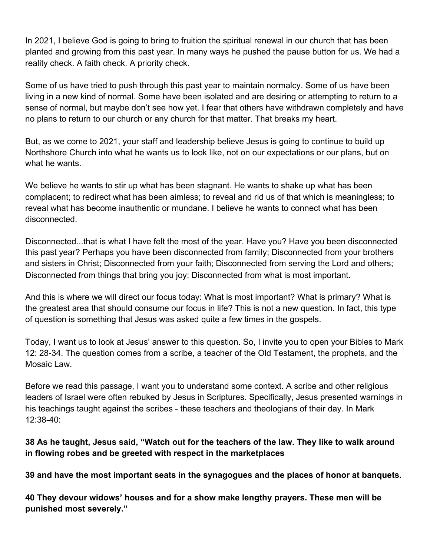In 2021, I believe God is going to bring to fruition the spiritual renewal in our church that has been planted and growing from this past year. In many ways he pushed the pause button for us. We had a reality check. A faith check. A priority check.

Some of us have tried to push through this past year to maintain normalcy. Some of us have been living in a new kind of normal. Some have been isolated and are desiring or attempting to return to a sense of normal, but maybe don't see how yet. I fear that others have withdrawn completely and have no plans to return to our church or any church for that matter. That breaks my heart.

But, as we come to 2021, your staff and leadership believe Jesus is going to continue to build up Northshore Church into what he wants us to look like, not on our expectations or our plans, but on what he wants.

We believe he wants to stir up what has been stagnant. He wants to shake up what has been complacent; to redirect what has been aimless; to reveal and rid us of that which is meaningless; to reveal what has become inauthentic or mundane. I believe he wants to connect what has been disconnected.

Disconnected...that is what I have felt the most of the year. Have you? Have you been disconnected this past year? Perhaps you have been disconnected from family; Disconnected from your brothers and sisters in Christ; Disconnected from your faith; Disconnected from serving the Lord and others; Disconnected from things that bring you joy; Disconnected from what is most important.

And this is where we will direct our focus today: What is most important? What is primary? What is the greatest area that should consume our focus in life? This is not a new question. In fact, this type of question is something that Jesus was asked quite a few times in the gospels.

Today, I want us to look at Jesus' answer to this question. So, I invite you to open your Bibles to Mark 12: 28-34. The question comes from a scribe, a teacher of the Old Testament, the prophets, and the Mosaic Law.

Before we read this passage, I want you to understand some context. A scribe and other religious leaders of Israel were often rebuked by Jesus in Scriptures. Specifically, Jesus presented warnings in his teachings taught against the scribes - these teachers and theologians of their day. In Mark 12:38-40:

# **38 As he taught, Jesus said, "Watch out for the teachers of the law. They like to walk around in flowing robes and be greeted with respect in the marketplaces**

**39 and have the most important seats in the synagogues and the places of honor at banquets.**

**40 They devour widows' houses and for a show make lengthy prayers. These men will be punished most severely."**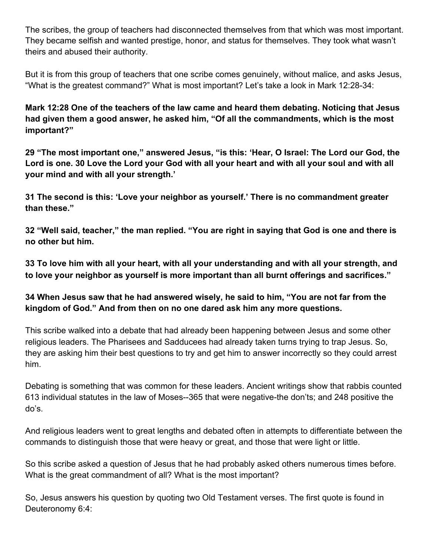The scribes, the group of teachers had disconnected themselves from that which was most important. They became selfish and wanted prestige, honor, and status for themselves. They took what wasn't theirs and abused their authority.

But it is from this group of teachers that one scribe comes genuinely, without malice, and asks Jesus, "What is the greatest command?" What is most important? Let's take a look in Mark 12:28-34:

**Mark 12:28 One of the teachers of the law came and heard them debating. Noticing that Jesus had given them a good answer, he asked him, "Of all the commandments, which is the most important?"**

**29 "The most important one," answered Jesus, "is this: 'Hear, O Israel: The Lord our God, the Lord is one. 30 Love the Lord your God with all your heart and with all your soul and with all your mind and with all your strength.'**

**31 The second is this: 'Love your neighbor as yourself.' There is no commandment greater than these."**

**32 "Well said, teacher," the man replied. "You are right in saying that God is one and there is no other but him.**

**33 To love him with all your heart, with all your understanding and with all your strength, and to love your neighbor as yourself is more important than all burnt offerings and sacrifices."**

# **34 When Jesus saw that he had answered wisely, he said to him, "You are not far from the kingdom of God." And from then on no one dared ask him any more questions.**

This scribe walked into a debate that had already been happening between Jesus and some other religious leaders. The Pharisees and Sadducees had already taken turns trying to trap Jesus. So, they are asking him their best questions to try and get him to answer incorrectly so they could arrest him.

Debating is something that was common for these leaders. Ancient writings show that rabbis counted 613 individual statutes in the law of Moses--365 that were negative-the don'ts; and 248 positive the do's.

And religious leaders went to great lengths and debated often in attempts to differentiate between the commands to distinguish those that were heavy or great, and those that were light or little.

So this scribe asked a question of Jesus that he had probably asked others numerous times before. What is the great commandment of all? What is the most important?

So, Jesus answers his question by quoting two Old Testament verses. The first quote is found in Deuteronomy 6:4: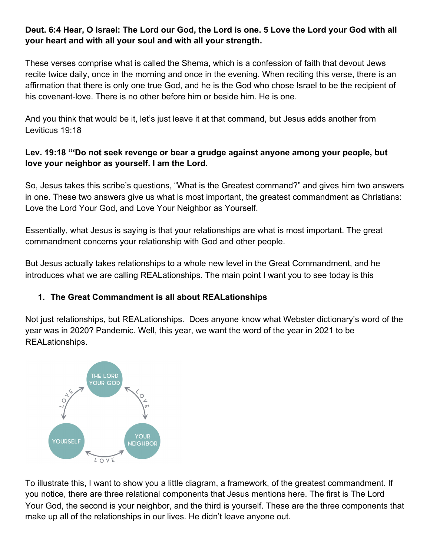#### **Deut. 6:4 Hear, O Israel: The Lord our God, the Lord is one. 5 Love the Lord your God with all your heart and with all your soul and with all your strength.**

These verses comprise what is called the Shema, which is a confession of faith that devout Jews recite twice daily, once in the morning and once in the evening. When reciting this verse, there is an affirmation that there is only one true God, and he is the God who chose Israel to be the recipient of his covenant-love. There is no other before him or beside him. He is one.

And you think that would be it, let's just leave it at that command, but Jesus adds another from Leviticus 19:18

#### **Lev. 19:18 "'Do not seek revenge or bear a grudge against anyone among your people, but love your neighbor as yourself. I am the Lord.**

So, Jesus takes this scribe's questions, "What is the Greatest command?" and gives him two answers in one. These two answers give us what is most important, the greatest commandment as Christians: Love the Lord Your God, and Love Your Neighbor as Yourself.

Essentially, what Jesus is saying is that your relationships are what is most important. The great commandment concerns your relationship with God and other people.

But Jesus actually takes relationships to a whole new level in the Great Commandment, and he introduces what we are calling REALationships. The main point I want you to see today is this

# **1. The Great Commandment is all about REALationships**

Not just relationships, but REALationships. Does anyone know what Webster dictionary's word of the year was in 2020? Pandemic. Well, this year, we want the word of the year in 2021 to be REALationships.



To illustrate this, I want to show you a little diagram, a framework, of the greatest commandment. If you notice, there are three relational components that Jesus mentions here. The first is The Lord Your God, the second is your neighbor, and the third is yourself. These are the three components that make up all of the relationships in our lives. He didn't leave anyone out.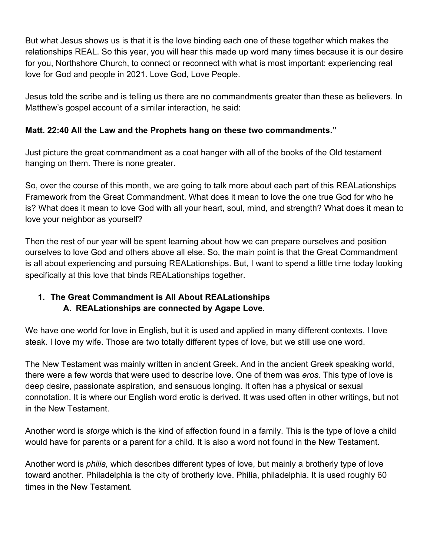But what Jesus shows us is that it is the love binding each one of these together which makes the relationships REAL. So this year, you will hear this made up word many times because it is our desire for you, Northshore Church, to connect or reconnect with what is most important: experiencing real love for God and people in 2021. Love God, Love People.

Jesus told the scribe and is telling us there are no commandments greater than these as believers. In Matthew's gospel account of a similar interaction, he said:

# **Matt. 22:40 All the Law and the Prophets hang on these two commandments."**

Just picture the great commandment as a coat hanger with all of the books of the Old testament hanging on them. There is none greater.

So, over the course of this month, we are going to talk more about each part of this REALationships Framework from the Great Commandment. What does it mean to love the one true God for who he is? What does it mean to love God with all your heart, soul, mind, and strength? What does it mean to love your neighbor as yourself?

Then the rest of our year will be spent learning about how we can prepare ourselves and position ourselves to love God and others above all else. So, the main point is that the Great Commandment is all about experiencing and pursuing REALationships. But, I want to spend a little time today looking specifically at this love that binds REALationships together.

# **1. The Great Commandment is All About REALationships A. REALationships are connected by Agape Love.**

We have one world for love in English, but it is used and applied in many different contexts. I love steak. I love my wife. Those are two totally different types of love, but we still use one word.

The New Testament was mainly written in ancient Greek. And in the ancient Greek speaking world, there were a few words that were used to describe love. One of them was *eros.* This type of love is deep desire, passionate aspiration, and sensuous longing. It often has a physical or sexual connotation. It is where our English word erotic is derived. It was used often in other writings, but not in the New Testament.

Another word is *storge* which is the kind of affection found in a family. This is the type of love a child would have for parents or a parent for a child. It is also a word not found in the New Testament.

Another word is *philia,* which describes different types of love, but mainly a brotherly type of love toward another. Philadelphia is the city of brotherly love. Philia, philadelphia. It is used roughly 60 times in the New Testament.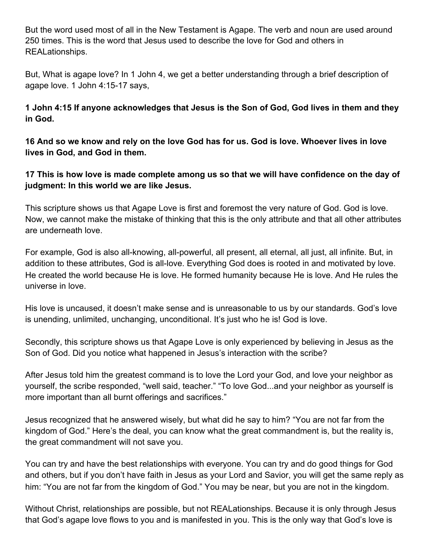But the word used most of all in the New Testament is Agape. The verb and noun are used around 250 times. This is the word that Jesus used to describe the love for God and others in REALationships.

But, What is agape love? In 1 John 4, we get a better understanding through a brief description of agape love. 1 John 4:15-17 says,

**1 John 4:15 If anyone acknowledges that Jesus is the Son of God, God lives in them and they in God.**

**16 And so we know and rely on the love God has for us. God is love. Whoever lives in love lives in God, and God in them.**

**17 This is how love is made complete among us so that we will have confidence on the day of judgment: In this world we are like Jesus.**

This scripture shows us that Agape Love is first and foremost the very nature of God. God is love. Now, we cannot make the mistake of thinking that this is the only attribute and that all other attributes are underneath love.

For example, God is also all-knowing, all-powerful, all present, all eternal, all just, all infinite. But, in addition to these attributes, God is all-love. Everything God does is rooted in and motivated by love. He created the world because He is love. He formed humanity because He is love. And He rules the universe in love.

His love is uncaused, it doesn't make sense and is unreasonable to us by our standards. God's love is unending, unlimited, unchanging, unconditional. It's just who he is! God is love.

Secondly, this scripture shows us that Agape Love is only experienced by believing in Jesus as the Son of God. Did you notice what happened in Jesus's interaction with the scribe?

After Jesus told him the greatest command is to love the Lord your God, and love your neighbor as yourself, the scribe responded, "well said, teacher." "To love God...and your neighbor as yourself is more important than all burnt offerings and sacrifices."

Jesus recognized that he answered wisely, but what did he say to him? "You are not far from the kingdom of God." Here's the deal, you can know what the great commandment is, but the reality is, the great commandment will not save you.

You can try and have the best relationships with everyone. You can try and do good things for God and others, but if you don't have faith in Jesus as your Lord and Savior, you will get the same reply as him: "You are not far from the kingdom of God." You may be near, but you are not in the kingdom.

Without Christ, relationships are possible, but not REALationships. Because it is only through Jesus that God's agape love flows to you and is manifested in you. This is the only way that God's love is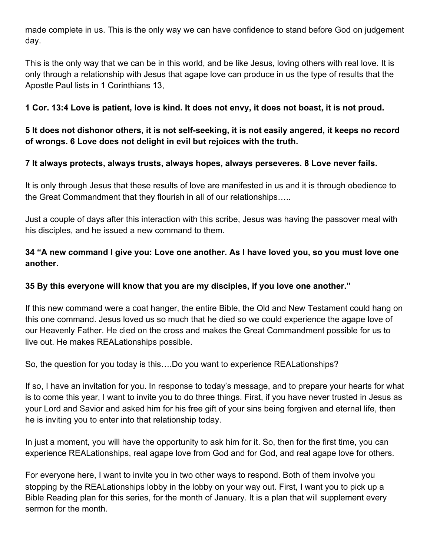made complete in us. This is the only way we can have confidence to stand before God on judgement day.

This is the only way that we can be in this world, and be like Jesus, loving others with real love. It is only through a relationship with Jesus that agape love can produce in us the type of results that the Apostle Paul lists in 1 Corinthians 13,

#### **1 Cor. 13:4 Love is patient, love is kind. It does not envy, it does not boast, it is not proud.**

**5 It does not dishonor others, it is not self-seeking, it is not easily angered, it keeps no record of wrongs. 6 Love does not delight in evil but rejoices with the truth.**

#### **7 It always protects, always trusts, always hopes, always perseveres. 8 Love never fails.**

It is only through Jesus that these results of love are manifested in us and it is through obedience to the Great Commandment that they flourish in all of our relationships…..

Just a couple of days after this interaction with this scribe, Jesus was having the passover meal with his disciples, and he issued a new command to them.

# **34 "A new command I give you: Love one another. As I have loved you, so you must love one another.**

# **35 By this everyone will know that you are my disciples, if you love one another."**

If this new command were a coat hanger, the entire Bible, the Old and New Testament could hang on this one command. Jesus loved us so much that he died so we could experience the agape love of our Heavenly Father. He died on the cross and makes the Great Commandment possible for us to live out. He makes REALationships possible.

So, the question for you today is this….Do you want to experience REALationships?

If so, I have an invitation for you. In response to today's message, and to prepare your hearts for what is to come this year, I want to invite you to do three things. First, if you have never trusted in Jesus as your Lord and Savior and asked him for his free gift of your sins being forgiven and eternal life, then he is inviting you to enter into that relationship today.

In just a moment, you will have the opportunity to ask him for it. So, then for the first time, you can experience REALationships, real agape love from God and for God, and real agape love for others.

For everyone here, I want to invite you in two other ways to respond. Both of them involve you stopping by the REALationships lobby in the lobby on your way out. First, I want you to pick up a Bible Reading plan for this series, for the month of January. It is a plan that will supplement every sermon for the month.